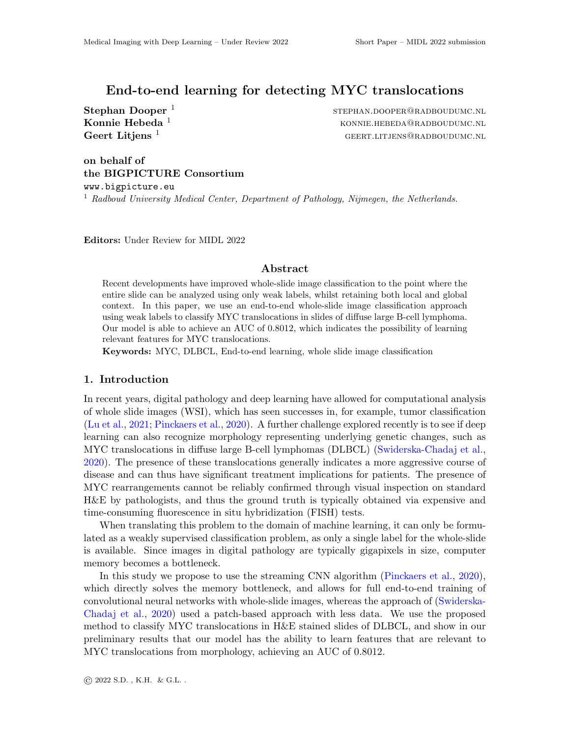# End-to-end learning for detecting MYC translocations

Stephan Dooper<sup>1</sup>

stephan.dooper@radboudumc.nl **Konnie Hebeda**  $^1$  konnie.hebeda  $^1$  konnie.hebeda and  $^1$  konnie.hebeda and  $^1$  konnie.hebeda and  $^1$  konnie.hebeda and  $^1$  konnie.hebeda  $^1$  konnie.hebeda  $^1$  konnie.hebeda  $^1$  konnie.hebeda  $^1$  konnie.hebeda Geert Litjens  $\frac{1}{2}$  geert. Litjens and GEERT. LITJENS@RADBOUDUMC.NL

# on behalf of the BIGPICTURE Consortium

www.bigpicture.eu <sup>1</sup> Radboud University Medical Center, Department of Pathology, Nijmegen, the Netherlands.

Editors: Under Review for MIDL 2022

#### Abstract

Recent developments have improved whole-slide image classification to the point where the entire slide can be analyzed using only weak labels, whilst retaining both local and global context. In this paper, we use an end-to-end whole-slide image classification approach using weak labels to classify MYC translocations in slides of diffuse large B-cell lymphoma. Our model is able to achieve an AUC of 0.8012, which indicates the possibility of learning relevant features for MYC translocations.

Keywords: MYC, DLBCL, End-to-end learning, whole slide image classification

# 1. Introduction

In recent years, digital pathology and deep learning have allowed for computational analysis of whole slide images (WSI), which has seen successes in, for example, tumor classification [\(Lu et al.,](#page-2-0) [2021;](#page-2-0) [Pinckaers et al.,](#page-2-1) [2020\)](#page-2-1). A further challenge explored recently is to see if deep learning can also recognize morphology representing underlying genetic changes, such as MYC translocations in diffuse large B-cell lymphomas (DLBCL) [\(Swiderska-Chadaj et al.,](#page-2-2) [2020\)](#page-2-2). The presence of these translocations generally indicates a more aggressive course of disease and can thus have significant treatment implications for patients. The presence of MYC rearrangements cannot be reliably confirmed through visual inspection on standard H&E by pathologists, and thus the ground truth is typically obtained via expensive and time-consuming fluorescence in situ hybridization (FISH) tests.

When translating this problem to the domain of machine learning, it can only be formulated as a weakly supervised classification problem, as only a single label for the whole-slide is available. Since images in digital pathology are typically gigapixels in size, computer memory becomes a bottleneck.

In this study we propose to use the streaming CNN algorithm [\(Pinckaers et al.,](#page-2-1) [2020\)](#page-2-1), which directly solves the memory bottleneck, and allows for full end-to-end training of convolutional neural networks with whole-slide images, whereas the approach of [\(Swiderska-](#page-2-2)[Chadaj et al.,](#page-2-2) [2020\)](#page-2-2) used a patch-based approach with less data. We use the proposed method to classify MYC translocations in H&E stained slides of DLBCL, and show in our preliminary results that our model has the ability to learn features that are relevant to MYC translocations from morphology, achieving an AUC of 0.8012.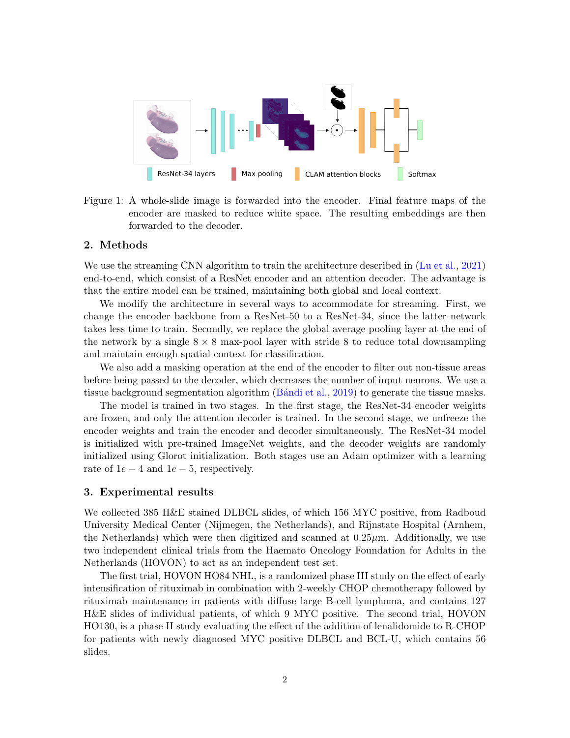

Figure 1: A whole-slide image is forwarded into the encoder. Final feature maps of the encoder are masked to reduce white space. The resulting embeddings are then forwarded to the decoder.

## 2. Methods

We use the streaming CNN algorithm to train the architecture described in [\(Lu et al.,](#page-2-0) [2021\)](#page-2-0) end-to-end, which consist of a ResNet encoder and an attention decoder. The advantage is that the entire model can be trained, maintaining both global and local context.

We modify the architecture in several ways to accommodate for streaming. First, we change the encoder backbone from a ResNet-50 to a ResNet-34, since the latter network takes less time to train. Secondly, we replace the global average pooling layer at the end of the network by a single  $8 \times 8$  max-pool layer with stride 8 to reduce total downsampling and maintain enough spatial context for classification.

We also add a masking operation at the end of the encoder to filter out non-tissue areas before being passed to the decoder, which decreases the number of input neurons. We use a tissue background segmentation algorithm (Bandi et al., [2019\)](#page-2-3) to generate the tissue masks.

The model is trained in two stages. In the first stage, the ResNet-34 encoder weights are frozen, and only the attention decoder is trained. In the second stage, we unfreeze the encoder weights and train the encoder and decoder simultaneously. The ResNet-34 model is initialized with pre-trained ImageNet weights, and the decoder weights are randomly initialized using Glorot initialization. Both stages use an Adam optimizer with a learning rate of  $1e-4$  and  $1e-5$ , respectively.

### 3. Experimental results

We collected 385 H&E stained DLBCL slides, of which 156 MYC positive, from Radboud University Medical Center (Nijmegen, the Netherlands), and Rijnstate Hospital (Arnhem, the Netherlands) which were then digitized and scanned at  $0.25\mu$ m. Additionally, we use two independent clinical trials from the Haemato Oncology Foundation for Adults in the Netherlands (HOVON) to act as an independent test set.

The first trial, HOVON HO84 NHL, is a randomized phase III study on the effect of early intensification of rituximab in combination with 2-weekly CHOP chemotherapy followed by rituximab maintenance in patients with diffuse large B-cell lymphoma, and contains 127 H&E slides of individual patients, of which 9 MYC positive. The second trial, HOVON HO130, is a phase II study evaluating the effect of the addition of lenalidomide to R-CHOP for patients with newly diagnosed MYC positive DLBCL and BCL-U, which contains 56 slides.